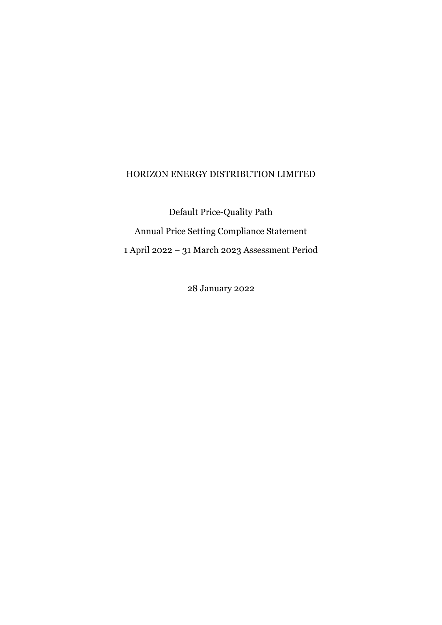#### HORIZON ENERGY DISTRIBUTION LIMITED

Default Price-Quality Path Annual Price Setting Compliance Statement 1 April 2022 - 31 March 2023 Assessment Period

28 January 2022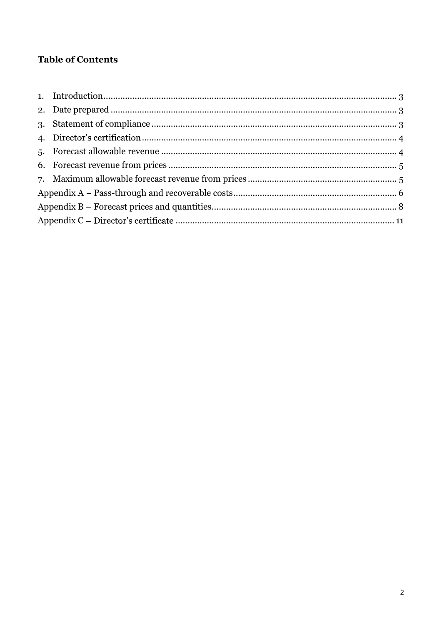## **Table of Contents**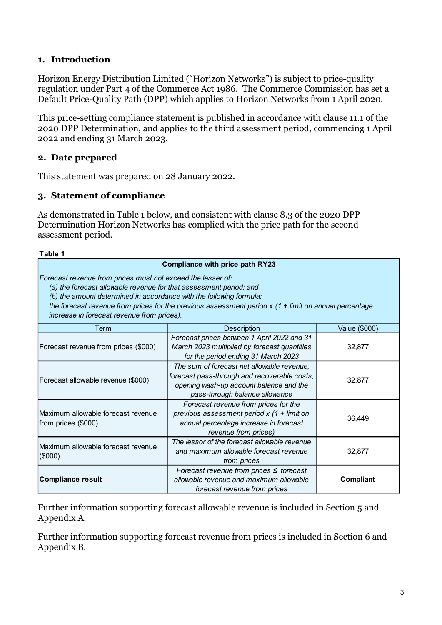#### 1. Introduction

Horizon Energy Distribution Limited ("Horizon Networks") is subject to price-quality regulation under Part 4 of the Commerce Act 1986. The Commerce Commission has set a Default Price-Quality Path (DPP) which applies to Horizon Networks from 1 April 2020.

This price-setting compliance statement is published in accordance with clause 11.1 of the 2020 DPP Determination, and applies to the third assessment period, commencing 1 April 2022 and ending 31 March 2023.

## 2. Date prepared

#### 3. Statement of compliance

| Table 1 |  |  |
|---------|--|--|
|         |  |  |

| 2022 and ending 31 March 2023.                                                                                                                                                                                                                         |                                                                                                                                                                         |               |
|--------------------------------------------------------------------------------------------------------------------------------------------------------------------------------------------------------------------------------------------------------|-------------------------------------------------------------------------------------------------------------------------------------------------------------------------|---------------|
| 2. Date prepared                                                                                                                                                                                                                                       |                                                                                                                                                                         |               |
| This statement was prepared on 28 January 2022.                                                                                                                                                                                                        |                                                                                                                                                                         |               |
| 3. Statement of compliance                                                                                                                                                                                                                             |                                                                                                                                                                         |               |
| assessment period.                                                                                                                                                                                                                                     | As demonstrated in Table 1 below, and consistent with clause 8.3 of the 2020 DPP<br>Determination Horizon Networks has complied with the price path for the second      |               |
| Table 1                                                                                                                                                                                                                                                |                                                                                                                                                                         |               |
|                                                                                                                                                                                                                                                        | <b>Compliance with price path RY23</b>                                                                                                                                  |               |
| Forecast revenue from prices must not exceed the lesser of:<br>(a) the forecast allowable revenue for that assessment period; and<br>(b) the amount determined in accordance with the following formula:<br>increase in forecast revenue from prices). | the forecast revenue from prices for the previous assessment period $x$ (1 + limit on annual percentage                                                                 |               |
| Term                                                                                                                                                                                                                                                   | <b>Description</b>                                                                                                                                                      | Value (\$000) |
| Forecast revenue from prices (\$000)                                                                                                                                                                                                                   | Forecast prices between 1 April 2022 and 31<br>March 2023 multiplied by forecast quantities<br>for the period ending 31 March 2023                                      | 32,877        |
| Forecast allowable revenue (\$000)                                                                                                                                                                                                                     | The sum of forecast net allowable revenue,<br>forecast pass-through and recoverable costs,<br>opening wash-up account balance and the<br>pass-through balance allowance | 32,877        |
| Maximum allowable forecast revenue<br>from prices (\$000)                                                                                                                                                                                              | Forecast revenue from prices for the<br>previous assessment period $x$ (1 + limit on<br>annual percentage increase in forecast<br>revenue from prices)                  | 36,449        |
| Maximum allowable forecast revenue<br>(\$000)                                                                                                                                                                                                          | The lessor of the forecast allowable revenue<br>and maximum allowable forecast revenue<br>from prices                                                                   | 32,877        |
| Compliance result                                                                                                                                                                                                                                      | Forecast revenue from prices $\leq$ forecast<br>allowable revenue and maximum allowable<br>forecast revenue from prices                                                 | Compliant     |

Further information supporting forecast allowable revenue is included in Section 5 and Appendix A.

Further information supporting forecast revenue from prices is included in Section 6 and Appendix B.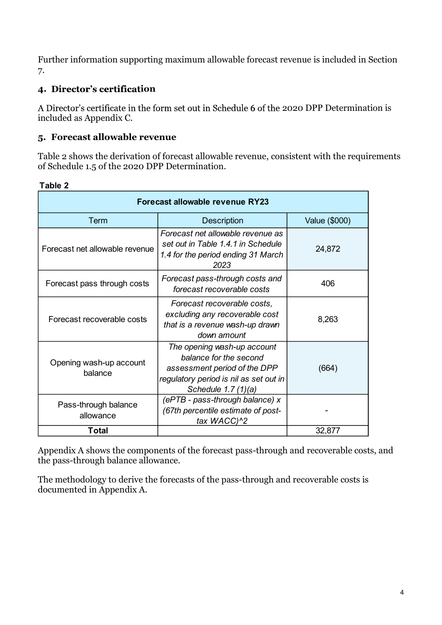## 4. Director's certification

## 5. Forecast allowable revenue

| 7.                                             | Further information supporting maximum allowable forecast revenue is included in Section                                                               |                      |
|------------------------------------------------|--------------------------------------------------------------------------------------------------------------------------------------------------------|----------------------|
| 4. Director's certification                    |                                                                                                                                                        |                      |
| included as Appendix C.                        | A Director's certificate in the form set out in Schedule 6 of the 2020 DPP Determination is                                                            |                      |
| 5. Forecast allowable revenue                  |                                                                                                                                                        |                      |
| of Schedule 1.5 of the 2020 DPP Determination. | Table 2 shows the derivation of forecast allowable revenue, consistent with the requirements                                                           |                      |
| Table 2                                        |                                                                                                                                                        |                      |
|                                                | <b>Forecast allowable revenue RY23</b>                                                                                                                 |                      |
| Term                                           | <b>Description</b>                                                                                                                                     | <b>Value (\$000)</b> |
| Forecast net allowable revenue                 | Forecast net allowable revenue as<br>set out in Table 1.4.1 in Schedule<br>1.4 for the period ending 31 March<br>2023                                  | 24,872               |
| Forecast pass through costs                    | Forecast pass-through costs and<br>forecast recoverable costs                                                                                          | 406                  |
| Forecast recoverable costs                     | Forecast recoverable costs,<br>excluding any recoverable cost<br>that is a revenue wash-up drawn<br>down amount                                        | 8,263                |
| Opening wash-up account<br>balance             | The opening wash-up account<br>balance for the second<br>assessment period of the DPP<br>regulatory period is nil as set out in<br>Schedule 1.7 (1)(a) | (664)                |
| Pass-through balance<br>allowance              | (ePTB - pass-through balance) x<br>(67th percentile estimate of post-<br>tax WACC)^2                                                                   |                      |
| <b>Total</b>                                   |                                                                                                                                                        | 32,877               |

Appendix A shows the components of the forecast pass-through and recoverable costs, and the pass-through balance allowance.

The methodology to derive the forecasts of the pass-through and recoverable costs is documented in Appendix A.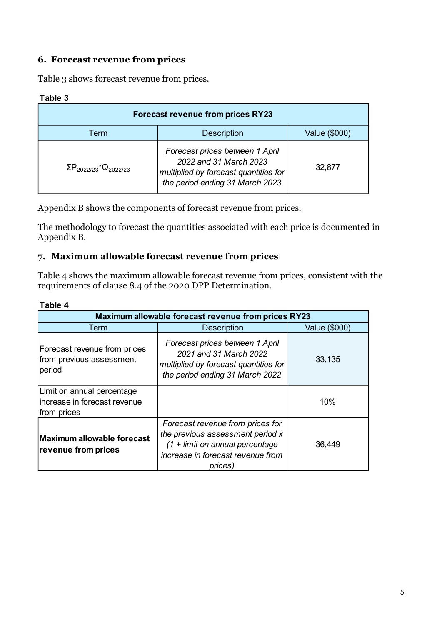## 6. Forecast revenue from prices

| Table 3 |  |  |
|---------|--|--|
|---------|--|--|

| 6. Forecast revenue from prices<br>Table 3 shows forecast revenue from prices. |                                                                                                                                       |               |
|--------------------------------------------------------------------------------|---------------------------------------------------------------------------------------------------------------------------------------|---------------|
| Table 3                                                                        |                                                                                                                                       |               |
|                                                                                | <b>Forecast revenue from prices RY23</b>                                                                                              |               |
| Term                                                                           | <b>Description</b>                                                                                                                    | Value (\$000) |
| $\Sigma P_{2022/23}$ <sup>*</sup> Q <sub>2022/23</sub>                         | Forecast prices between 1 April<br>2022 and 31 March 2023<br>multiplied by forecast quantities for<br>the period ending 31 March 2023 | 32,877        |
|                                                                                | Appendix B shows the components of forecast revenue from prices.                                                                      |               |
| Appendix B.                                                                    | The methodology to forecast the quantities associated with each price is documented in                                                |               |
|                                                                                | 7. Maximum allowable forecast revenue from prices                                                                                     |               |
| requirements of clause 8.4 of the 2020 DPP Determination.                      | Table 4 shows the maximum allowable forecast revenue from prices, consistent with the                                                 |               |
| Tahlo 1                                                                        |                                                                                                                                       |               |

#### Table 4

| $1$ CITII                                                                 | <b>DESCRIPTION</b>                                                                                                                                        | Value (vouu)  |
|---------------------------------------------------------------------------|-----------------------------------------------------------------------------------------------------------------------------------------------------------|---------------|
| $\Sigma P_{2022/23}$ *Q <sub>2022/23</sub>                                | Forecast prices between 1 April<br>2022 and 31 March 2023<br>multiplied by forecast quantities for<br>the period ending 31 March 2023                     | 32,877        |
|                                                                           | Appendix B shows the components of forecast revenue from prices.                                                                                          |               |
| Appendix B.                                                               | The methodology to forecast the quantities associated with each price is documented in                                                                    |               |
|                                                                           | 7. Maximum allowable forecast revenue from prices                                                                                                         |               |
| requirements of clause 8.4 of the 2020 DPP Determination.<br>Table 4      | Table 4 shows the maximum allowable forecast revenue from prices, consistent with the                                                                     |               |
|                                                                           | Maximum allowable forecast revenue from prices RY23                                                                                                       |               |
| Term                                                                      | <b>Description</b>                                                                                                                                        | Value (\$000) |
| Forecast revenue from prices<br>from previous assessment<br>period        | Forecast prices between 1 April<br>2021 and 31 March 2022<br>multiplied by forecast quantities for<br>the period ending 31 March 2022                     | 33,135        |
| Limit on annual percentage<br>Increase in forecast revenue<br>from prices |                                                                                                                                                           | 10%           |
| Maximum allowable forecast<br>revenue from prices                         | Forecast revenue from prices for<br>the previous assessment period x<br>$(1 +$ limit on annual percentage<br>increase in forecast revenue from<br>prices) | 36,449        |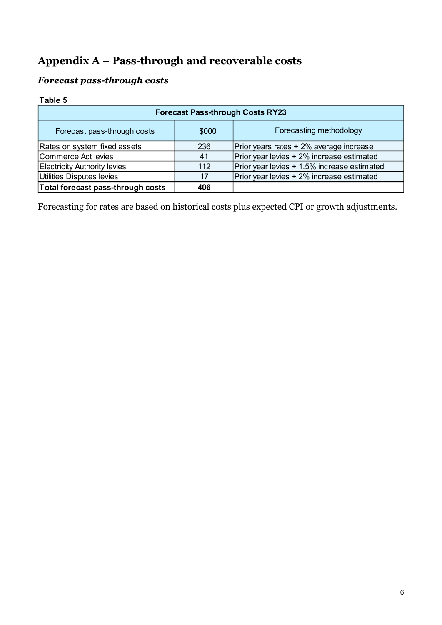# Appendix  $A - Pass-through$  and recoverable costs

## Forecast pass-through costs

#### Table 5

| Appendix A – Pass-through and recoverable costs     |       |                                             |
|-----------------------------------------------------|-------|---------------------------------------------|
|                                                     |       |                                             |
| <b>Forecast pass-through costs</b>                  |       |                                             |
|                                                     |       |                                             |
|                                                     |       |                                             |
|                                                     |       |                                             |
|                                                     |       | <b>Forecast Pass-through Costs RY23</b>     |
| Table 5<br>Forecast pass-through costs              | \$000 | Forecasting methodology                     |
|                                                     | 236   | Prior years rates + 2% average increase     |
| Rates on system fixed assets<br>Commerce Act levies | 41    | Prior year levies + 2% increase estimated   |
| <b>Electricity Authority levies</b>                 | 112   | Prior year levies + 1.5% increase estimated |
| Utilities Disputes levies                           | 17    | Prior year levies + 2% increase estimated   |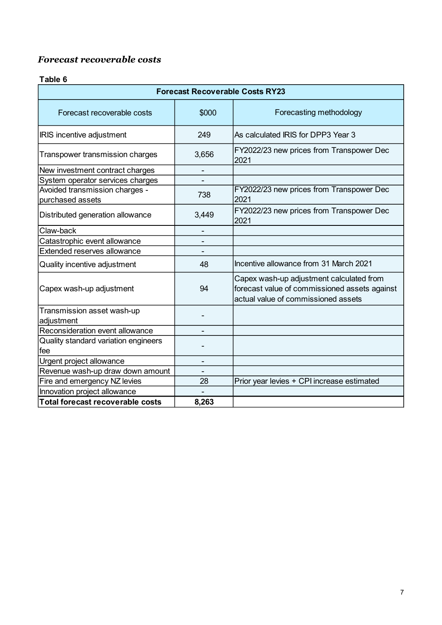## Forecast recoverable costs

#### Table 6

| <b>Forecast recoverable costs</b>           |                          |                                                                                                                                  |
|---------------------------------------------|--------------------------|----------------------------------------------------------------------------------------------------------------------------------|
|                                             |                          |                                                                                                                                  |
| Table 6                                     |                          |                                                                                                                                  |
|                                             |                          | <b>Forecast Recoverable Costs RY23</b>                                                                                           |
| Forecast recoverable costs                  | \$000                    | Forecasting methodology                                                                                                          |
| <b>IRIS</b> incentive adjustment            | 249                      | As calculated IRIS for DPP3 Year 3                                                                                               |
| Transpower transmission charges             | 3,656                    | FY2022/23 new prices from Transpower Dec<br>2021                                                                                 |
| New investment contract charges             |                          |                                                                                                                                  |
| System operator services charges            |                          |                                                                                                                                  |
| Avoided transmission charges -              | 738                      | FY2022/23 new prices from Transpower Dec                                                                                         |
| purchased assets                            |                          | 2021                                                                                                                             |
| Distributed generation allowance            | 3,449                    | FY2022/23 new prices from Transpower Dec<br>2021                                                                                 |
| Claw-back                                   |                          |                                                                                                                                  |
| Catastrophic event allowance                | $\overline{\phantom{a}}$ |                                                                                                                                  |
| Extended reserves allowance                 | $\overline{\phantom{0}}$ |                                                                                                                                  |
| Quality incentive adjustment                | 48                       | Incentive allowance from 31 March 2021                                                                                           |
| Capex wash-up adjustment                    | 94                       | Capex wash-up adjustment calculated from<br>forecast value of commissioned assets against<br>actual value of commissioned assets |
| Transmission asset wash-up<br>adjustment    |                          |                                                                                                                                  |
| Reconsideration event allowance             | -                        |                                                                                                                                  |
| Quality standard variation engineers<br>fee |                          |                                                                                                                                  |
| Urgent project allowance                    | $\overline{\phantom{a}}$ |                                                                                                                                  |
| Revenue wash-up draw down amount            |                          |                                                                                                                                  |
| Fire and emergency NZ levies                | 28                       | Prior year levies + CPI increase estimated                                                                                       |
| Innovation project allowance                |                          |                                                                                                                                  |
| Total forecast recoverable costs            | 8,263                    |                                                                                                                                  |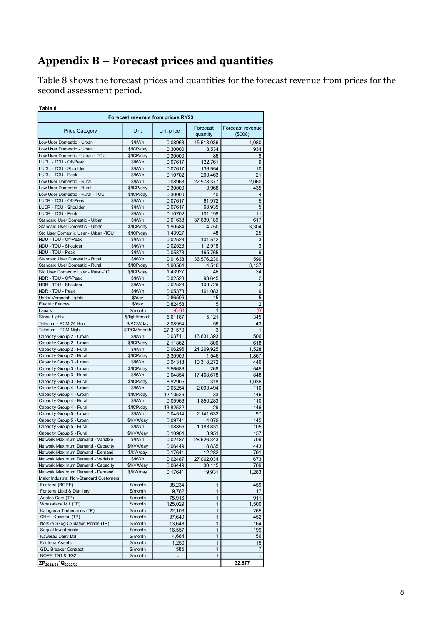# Appendix  $B$  – Forecast prices and quantities

Table 8 shows the forecast prices and quantities for the forecast revenue from prices for the second assessment period.

| Appendix B – Forecast prices and quantities                                                   |                                   |                          |                              |                     |  |
|-----------------------------------------------------------------------------------------------|-----------------------------------|--------------------------|------------------------------|---------------------|--|
|                                                                                               |                                   |                          |                              |                     |  |
| Table 8 shows the forecast prices and quantities for the forecast revenue from prices for the |                                   |                          |                              |                     |  |
| second assessment period.                                                                     |                                   |                          |                              |                     |  |
|                                                                                               |                                   |                          |                              |                     |  |
| Table 8                                                                                       | Forecast revenue from prices RY23 |                          |                              |                     |  |
|                                                                                               |                                   |                          |                              |                     |  |
| <b>Price Category</b>                                                                         | Unit                              | Unit price               | Forecast                     | Forecast revenue    |  |
| Low User Domestic - Urban                                                                     | \$/kWh                            |                          | quantity                     | (5000)              |  |
| Low User Domestic - Urban                                                                     | \$/ICP/day                        | 0.08963<br>0.30000       | 45,518,036<br>8,534          | 4,080<br>934        |  |
| Low User Domestic - Urban - TOU                                                               | \$/ICP/day                        | 0.30000                  | 86                           | 9                   |  |
| LUDU - TOU - Off-Peak                                                                         | \$/kWh                            | 0.07617                  | 122,761                      | 9                   |  |
| LUDU - TOU - Shoulder                                                                         | \$/kWh                            | 0.07617                  | 136,554                      | 10                  |  |
| LUDU - TOU - Peak                                                                             | \$/kWh                            | 0.10702                  | 200,463                      | 21                  |  |
| Low User Domestic - Rural<br>Low User Domestic - Rural                                        | \$/kWh<br>\$/ICP/day              | 0.08963<br>0.30000       | 22,978,377<br>3,968          | 2,060<br>435        |  |
| Low User Domestic - Rural - TOU                                                               | \$/ICP/day                        | 0.30000                  | 40                           | 4                   |  |
| LUDR - TOU - Off-Peak                                                                         | \$/kWh                            | 0.07617                  | 61,972                       | 5                   |  |
| LUDR - TOU - Shoulder                                                                         | \$/kWh                            | 0.07617                  | 68,935                       | 5                   |  |
| LUDR - TOU - Peak<br>Standard User Domestic - Urban                                           | \$/kWh<br>\$/kWh                  | 0.10702                  | 101,198                      | 11<br>617           |  |
| Standard User Domestic - Urban                                                                | \$/ICP/day                        | 0.01638<br>1.90584       | 37,639,189<br>4,750          | 3,304               |  |
| Std User Domestic User - Urban -TOU                                                           | \$/ICP/day                        | 1.43927                  | 48                           | 25                  |  |
| NDU - TOU - Off-Peak                                                                          | \$/kWh                            | 0.02523                  | 101,512                      | 3                   |  |
| NDU - TOU - Shoulder                                                                          | \$/kWh                            | 0.02523                  | 112,918                      | 3                   |  |
| NDU - TOU - Peak<br>Standard User Domestic - Rural                                            | \$/kWh<br>\$/kWh                  | 0.05373<br>0.01638       | 165,765<br>36,576,230        | 9<br>599            |  |
| Standard User Domestic - Rural                                                                | \$/ICP/day                        | 1.90584                  | 4,510                        | 3,137               |  |
| Std User Domestic User - Rural -TOU                                                           | \$/ICP/day                        | 1.43927                  | 46                           | 24                  |  |
| NDR - TOU - Off-Peak                                                                          | \$/kWh                            | 0.02523                  | 98,645                       | 2                   |  |
| NDR - TOU - Shoulder                                                                          | \$/kWh                            | 0.02523                  | 109.729                      | 3                   |  |
| NDR - TOU - Peak<br>Under Verandah Lights                                                     | \$/kWh<br>\$/day                  | 0.05373<br>0.86506       | 161,083<br>15                | 9<br>5              |  |
| <b>Electric Fences</b>                                                                        | \$/day                            | 0.82458                  | 5                            | 2                   |  |
| Lanark                                                                                        | \$/month                          | $-8.64$                  | $\mathbf{1}$                 | (0)                 |  |
| <b>Street Lights</b>                                                                          | \$/light/month                    | 5.61187                  | 5,121                        | 345                 |  |
| Telecom - PCM 24 Hour                                                                         | \$/PCM/day                        | 2.08954                  | 56                           | 43                  |  |
| Telecom - PCM Night<br>Capacity Group 2 - Urban                                               | \$/PCM/month<br>\$/kWh            | 27.31570<br>0.03711      | 3                            | $\mathbf{1}$<br>506 |  |
| Capacity Group 2 - Urban                                                                      | \$/ICP/day                        | 2.11862                  | 13,631,393<br>800            | 618                 |  |
| Capacity Group 2 - Rural                                                                      | \$/kWh                            | 0.06295                  | 24,269,925                   | 1,528               |  |
| Capacity Group 2 - Rural                                                                      | \$/ICP/day                        | 3.30909                  | 1,546                        | 1,867               |  |
| Capacity Group 3 - Urban                                                                      | \$/kWh                            | 0.04318                  | 10,318,272                   | 446                 |  |
| Capacity Group 3 - Urban<br>Capacity Group 3 - Rural                                          | \$/ICP/day<br>\$/kWh              | 5.56686                  | 268<br>17,468,678            | 545<br>848          |  |
| Capacity Group 3 - Rural                                                                      | \$/ICP/day                        | 0.04854<br>8.92905       | 318                          | 1,036               |  |
| Capacity Group 4 - Urban                                                                      | \$/kWh                            | 0.05254                  | 2,093,494                    | 110                 |  |
| Capacity Group 4 - Urban                                                                      | \$/ICP/day                        | 12.10526                 | 33                           | 146                 |  |
| Capacity Group 4 - Rural                                                                      | \$/kWh                            | 0.05966                  | 1,850,283                    | 110                 |  |
| Capacity Group 4 - Rural                                                                      | \$/ICP/day                        | 13.82522                 | 29                           | 146                 |  |
| Capacity Group 5 - Urban                                                                      | \$/kWh                            | 0.04514                  | 2,141,632                    | 97<br>145           |  |
| Capacity Group 5 - Urban<br>Capacity Group 5 - Rural                                          | \$/kVA/day<br>\$/kWh              | 0.09741<br>0.08856       | 4,079<br>1,183,831           | 105                 |  |
| Capacity Group 5 - Rural                                                                      | \$/kVA/day                        | 0.10904                  | 3,951                        | 157                 |  |
| Network Maximum Demand - Variable                                                             | \$/kWh                            | 0.02487                  | 28,526,343                   | 709                 |  |
| Network Maximum Demand - Capacity                                                             | \$/kVA/day                        | 0.06449                  | 18,835                       | 443                 |  |
| Network Maximum Demand - Demand<br>Network Maximum Demand - Variable                          | \$/kW/day<br>\$/kWh               | 0.17641<br>0.02487       | 12,282<br>27,062,034         | 791<br>673          |  |
| Network Maximum Demand - Capacity                                                             | \$/kVA/day                        | 0.06449                  | 30,115                       | 709                 |  |
| Network Maximum Demand - Demand                                                               | \$/kW/day                         | 0.17641                  | 19,931                       | 1,283               |  |
| Major Industrial Non-Standard Customers                                                       |                                   |                          |                              |                     |  |
| Fonterra (BOPE)                                                                               | \$/month                          | 38,234                   | 1                            | 459                 |  |
| Fonterra Lipid & Distillery<br>Asaleo Care (TP)                                               | \$/month<br>\$/month              | 9,782<br>75,916          | $\mathbf{1}$<br>$\mathbf{1}$ | 117<br>911          |  |
|                                                                                               | \$/month                          | 125,029                  | $\mathbf{1}$                 | 1,500               |  |
| Whakatane Mill (TP)                                                                           | \$/month                          | 22,103                   | 1                            | 265                 |  |
| Kaingaroa Timberlands (TP)                                                                    |                                   |                          |                              |                     |  |
| CHH - Kawerau (TP)                                                                            | \$/month                          | 37,649                   | 1                            | 452                 |  |
| Norske Skog Oxidation Ponds (TP)                                                              | \$/month                          | 13,648                   | $\mathbf{1}$                 | 164                 |  |
| Sequal Investments<br>Kawerau Dairy Ltd                                                       | \$/month<br>\$/month              | 16,557                   | $\mathbf{1}$                 | 199                 |  |
| <b>Fonterra Assets</b>                                                                        | \$/month                          | 4,684<br>1,250           | $\mathbf{1}$<br>$\mathbf{1}$ | 56<br>15            |  |
| <b>GDL Breaker Contract</b>                                                                   | \$/month                          | 585                      | $\mathbf{1}$                 | $\overline{7}$      |  |
| BOPE TG1 & TG2<br>$\Sigma P_{2022/23}$ *Q <sub>2022/23</sub>                                  | \$/month                          | $\overline{\phantom{a}}$ | $\mathbf{1}$                 | 32,877              |  |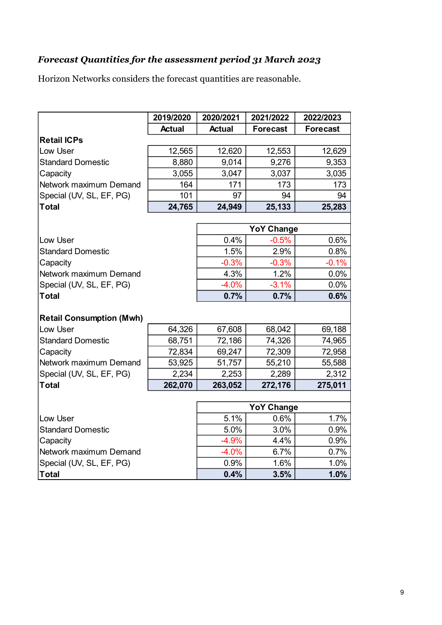## Forecast Quantities for the assessment period 31 March 2023

| Forecast Quantities for the assessment period 31 March 2023<br>Horizon Networks considers the forecast quantities are reasonable. |               |               |                   |                 |
|-----------------------------------------------------------------------------------------------------------------------------------|---------------|---------------|-------------------|-----------------|
|                                                                                                                                   |               |               |                   |                 |
|                                                                                                                                   |               |               |                   |                 |
|                                                                                                                                   |               |               |                   |                 |
|                                                                                                                                   |               |               |                   |                 |
|                                                                                                                                   |               |               |                   |                 |
|                                                                                                                                   |               |               |                   |                 |
|                                                                                                                                   | 2019/2020     | 2020/2021     | 2021/2022         | 2022/2023       |
|                                                                                                                                   | <b>Actual</b> | <b>Actual</b> | <b>Forecast</b>   | <b>Forecast</b> |
| <b>Retail ICPs</b>                                                                                                                |               |               |                   |                 |
| Low User                                                                                                                          | 12,565        | 12,620        | 12,553            | 12,629          |
| Standard Domestic                                                                                                                 | 8,880         | 9,014         | 9,276             | 9,353           |
| Capacity                                                                                                                          | 3,055         | 3,047         | 3,037             | 3,035           |
| Network maximum Demand                                                                                                            | 164           | 171           | 173               | 173             |
| Special (UV, SL, EF, PG)                                                                                                          | 101           | 97            | 94                | 94              |
| Total                                                                                                                             | 24,765        | 24,949        | 25,133            | 25,283          |
|                                                                                                                                   |               |               |                   |                 |
|                                                                                                                                   |               |               | <b>YoY Change</b> |                 |
| Low User                                                                                                                          |               | 0.4%          | $-0.5%$           | 0.6%            |
| <b>Standard Domestic</b>                                                                                                          |               | 1.5%          | 2.9%              | 0.8%            |
| Capacity                                                                                                                          |               | $-0.3%$       | $-0.3%$           | $-0.1%$         |
| Network maximum Demand                                                                                                            |               | 4.3%          | 1.2%              | 0.0%            |
| Special (UV, SL, EF, PG)                                                                                                          |               | $-4.0%$       | $-3.1%$           | 0.0%            |
| Total                                                                                                                             |               | 0.7%          | 0.7%              | 0.6%            |
|                                                                                                                                   |               |               |                   |                 |
| <b>Retail Consumption (Mwh)</b>                                                                                                   |               |               |                   |                 |
| Low User                                                                                                                          | 64,326        | 67,608        | 68,042            | 69,188          |
| <b>Standard Domestic</b>                                                                                                          | 68,751        | 72,186        | 74,326            | 74,965          |
| Capacity                                                                                                                          | 72,834        | 69,247        | 72,309            | 72,958          |
| Network maximum Demand                                                                                                            | 53,925        | 51,757        | 55,210            | 55,588          |
| Special (UV, SL, EF, PG)                                                                                                          | 2,234         | 2,253         | 2,289             | 2,312           |
| Total                                                                                                                             | 262,070       | 263,052       | 272,176           | 275,011         |
|                                                                                                                                   |               |               |                   |                 |
|                                                                                                                                   |               |               | <b>YoY Change</b> |                 |
| Low User                                                                                                                          |               | 5.1%          | 0.6%              | 1.7%            |
| <b>Standard Domestic</b>                                                                                                          |               | 5.0%          | 3.0%              | 0.9%            |
| Capacity                                                                                                                          |               | $-4.9%$       | 4.4%              | 0.9%            |
| Network maximum Demand                                                                                                            |               | $-4.0%$       | 6.7%              | 0.7%            |
| Special (UV, SL, EF, PG)                                                                                                          |               | 0.9%          | 1.6%              | 1.0%            |
| Total                                                                                                                             |               | 0.4%          | 3.5%              | 1.0%            |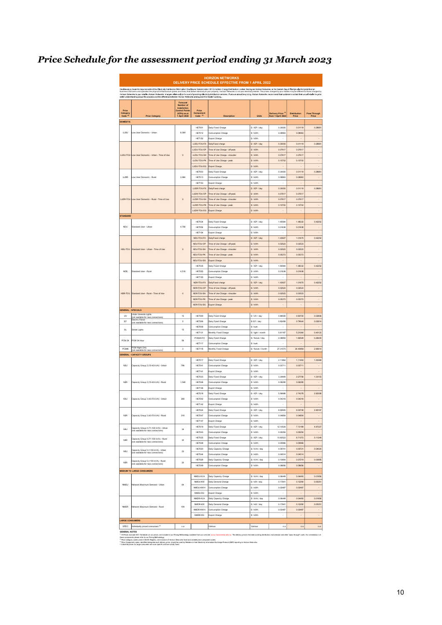# Price Schedule for the assessment period ending 31 March 2023

|                                                                                                                                                                                                                                                                                                                                                                                                                                                                  | <b>HORIZON NETWORKS</b><br>DELIVERY PRICE SCHEDULE EFFECTIVE FROM 1 APRIL 2022 |                                                                       |                            |                                                                |                          |                     |                     |                            |  |  |  |
|------------------------------------------------------------------------------------------------------------------------------------------------------------------------------------------------------------------------------------------------------------------------------------------------------------------------------------------------------------------------------------------------------------------------------------------------------------------|--------------------------------------------------------------------------------|-----------------------------------------------------------------------|----------------------------|----------------------------------------------------------------|--------------------------|---------------------|---------------------|----------------------------|--|--|--|
| Disclosure pursuant to requirements of the Electricity Distribution Information Disclosure Determination 2012. Horizon Energy Distribution Limited, trading as Horizon Networks, is the Eastern Bay of Plenty's electricity di<br>brakeway and the community of the community of the community of the community of the community of the community of the community of the community of the community of the community of the community of the community of the c |                                                                                |                                                                       |                            |                                                                |                          |                     |                     |                            |  |  |  |
| Price<br>Category                                                                                                                                                                                                                                                                                                                                                                                                                                                |                                                                                | Forecast<br>Number of<br>Installation<br>ontrol Point<br>(ICPs) as at | Price<br>Component         |                                                                |                          | Delivery Price (1)  | <b>Distribution</b> | Pass Through               |  |  |  |
| Code <sup>(2)</sup>                                                                                                                                                                                                                                                                                                                                                                                                                                              | <b>Price Category</b>                                                          | 1 April 2022                                                          | Code <sup>(2)</sup>        | Description                                                    | Units                    | from 1 April 2022   | Price               | Price                      |  |  |  |
| <b>DOMESTIC</b>                                                                                                                                                                                                                                                                                                                                                                                                                                                  |                                                                                |                                                                       | HET001                     | Daily Fixed Charge                                             | \$ / ICP / day           | 0.30000             | 0.01119             | 0.28881                    |  |  |  |
| LUDU                                                                                                                                                                                                                                                                                                                                                                                                                                                             | ow User Domestic - Urban                                                       | 8,569                                                                 | HET012                     | Consumption Charge                                             | \$/kWh                   | 0.08963             | 0.08963             |                            |  |  |  |
|                                                                                                                                                                                                                                                                                                                                                                                                                                                                  |                                                                                |                                                                       | <b>HET152</b>              | Export Charge                                                  | \$/kWh                   | ÷.                  | i.                  | $\overline{\phantom{a}}$   |  |  |  |
|                                                                                                                                                                                                                                                                                                                                                                                                                                                                  |                                                                                |                                                                       | <b>LUDILTOUEX</b>          | DailyFixed charge                                              | \$ / ICP / day           | 0.30000             | 0.01119             | 0.28881                    |  |  |  |
|                                                                                                                                                                                                                                                                                                                                                                                                                                                                  | LUDU-TOU Low User Domestic - Urban - Time of Use                               | $\circ$                                                               | LUDU-TOU-OP<br>LUDU-TOU-SH | Time of Use Charge - off-peak<br>Time of Use Charge - shoulder | \$/kWh<br>\$/kWh         | 0.07617<br>0.07617  | 0.07617<br>0.07617  | $\ddot{\phantom{0}}$<br>l, |  |  |  |
|                                                                                                                                                                                                                                                                                                                                                                                                                                                                  |                                                                                |                                                                       | LUDU-TOU-PK                | Time of Use Charge - peak                                      | \$/kWh                   | 0.10702             | 0.10702             | $\ddot{\phantom{0}}$       |  |  |  |
|                                                                                                                                                                                                                                                                                                                                                                                                                                                                  |                                                                                |                                                                       | LUDU-TOU-DG                | <b>Export Charge</b>                                           | \$/kWh                   |                     |                     |                            |  |  |  |
|                                                                                                                                                                                                                                                                                                                                                                                                                                                                  |                                                                                |                                                                       | HET003                     | Daily Fixed Charge                                             | \$ / ICP / day           | 0.30000             | 0.01119             | 0.28881                    |  |  |  |
| LUDR                                                                                                                                                                                                                                                                                                                                                                                                                                                             | Low User Domestic - Rural                                                      | 3.984                                                                 | HET013<br><b>HET153</b>    | Consumption Charge                                             | $$I$ kWh<br>\$/kWh       | 0.08963             | 0.08963             | i.<br>i.                   |  |  |  |
|                                                                                                                                                                                                                                                                                                                                                                                                                                                                  |                                                                                |                                                                       | LUDR-TOU-FX                | Export Charge<br>DailyFixed charge                             | \$/ICP/day               | 0.30000             | 0.01119             | 0.28881                    |  |  |  |
|                                                                                                                                                                                                                                                                                                                                                                                                                                                                  |                                                                                |                                                                       | LUDR-TOU-OP                | Time of Use Charge - off-peak                                  | \$/kWh                   | 0.07617             | 0.07617             | $\overline{a}$             |  |  |  |
|                                                                                                                                                                                                                                                                                                                                                                                                                                                                  | LUDR-TOU Low User Domestic - Rural - Time of Use                               | $\circ$                                                               | LUDR-TOU-SH                | Time of Use Charge - shoulder                                  | \$/kWh                   | 0.07617             | 0.07617             | l,                         |  |  |  |
|                                                                                                                                                                                                                                                                                                                                                                                                                                                                  |                                                                                |                                                                       | LUDR-TOU-PK                | Time of Use Charge - peak                                      | \$/kWh                   | 0.10702             | 0.10702             |                            |  |  |  |
|                                                                                                                                                                                                                                                                                                                                                                                                                                                                  |                                                                                |                                                                       | LUDR-TOU-DG                | <b>Export Charge</b>                                           | S/KWh                    |                     | L.                  |                            |  |  |  |
| STANDARD                                                                                                                                                                                                                                                                                                                                                                                                                                                         |                                                                                |                                                                       | <b>HET034</b>              | Daily Fixed Charge                                             | \$/ICP/day               | 1.90584             | 1.48332             | 0.42252                    |  |  |  |
| <b>NDU</b>                                                                                                                                                                                                                                                                                                                                                                                                                                                       | Standard User - Urban                                                          | 4,758                                                                 | <b>HETOS4</b>              | Consumption Charge                                             | $$I$ kWh                 | 0.01638             | 0.01638             | ×,                         |  |  |  |
|                                                                                                                                                                                                                                                                                                                                                                                                                                                                  |                                                                                |                                                                       | <b>HET154</b>              | Export Charge                                                  | \$/kWh                   |                     | i.                  | i,                         |  |  |  |
|                                                                                                                                                                                                                                                                                                                                                                                                                                                                  |                                                                                |                                                                       | NDU-TOU-FX                 | DailyFixed charge                                              | \$/ICP/day               | 1.4392              | 1.01675             | 0.42252                    |  |  |  |
|                                                                                                                                                                                                                                                                                                                                                                                                                                                                  |                                                                                |                                                                       | NDU-TOU-OF                 | Time of Use Charge - off-peak                                  | \$/kWh                   | 0.0252              | 0.02522             | l,                         |  |  |  |
| NDU-TOU                                                                                                                                                                                                                                                                                                                                                                                                                                                          | Standard User - Urban - Time of Use                                            | $\circ$                                                               | NDU-TOU-SH                 | Time of Use Charge - shoulder                                  | \$/kWh                   | 0.02523             | 0.02523             | $\overline{a}$             |  |  |  |
|                                                                                                                                                                                                                                                                                                                                                                                                                                                                  |                                                                                |                                                                       | NDU-TOU-PK                 | Time of Use Charge - peak                                      | \$/kWh                   | 0.0537              | 0.05373             | i,                         |  |  |  |
|                                                                                                                                                                                                                                                                                                                                                                                                                                                                  |                                                                                |                                                                       | NDU-TOU-DG                 | Export Charge<br>Daily Fixed Charge                            | \$/kWh                   |                     |                     |                            |  |  |  |
| <b>NDR</b>                                                                                                                                                                                                                                                                                                                                                                                                                                                       | .<br>Standard User - Rura                                                      | 4,518                                                                 | HET035<br>HET055           | Consumption Charge                                             | \$ / ICP / day<br>\$/kWh | 1.9058<br>0.01638   | 1.48332<br>0.01638  | 0.42252                    |  |  |  |
|                                                                                                                                                                                                                                                                                                                                                                                                                                                                  |                                                                                |                                                                       | <b>HET155</b>              | Export Charge                                                  | \$/kWh                   |                     | l,                  | i,                         |  |  |  |
|                                                                                                                                                                                                                                                                                                                                                                                                                                                                  |                                                                                |                                                                       | NDR-TOU-FX                 | DailyFixed charge                                              | \$ / ICP / day           | 1.4392              | 1.01675             | 0.42252                    |  |  |  |
|                                                                                                                                                                                                                                                                                                                                                                                                                                                                  |                                                                                |                                                                       | NDR-TOU-OF                 | Time of Use Charge - off-peak                                  | \$/kWh                   | 0.0252              | 0.02523             | $\overline{a}$             |  |  |  |
| NDR-TOU                                                                                                                                                                                                                                                                                                                                                                                                                                                          | Standard User - Rural - Time of Use                                            | $\circ$                                                               | NDR-TOU-SH                 | Time of Use Charge - shoulder                                  | \$/kWh                   | 0.02523             | 0.02523             | $\overline{a}$             |  |  |  |
|                                                                                                                                                                                                                                                                                                                                                                                                                                                                  |                                                                                |                                                                       | NDR-TOU-PK                 | Time of Use Charge - peak                                      | \$/kWh                   | 0.05373             | 0.05373             | i,                         |  |  |  |
| <b>SENERAL - SPECIALS</b>                                                                                                                                                                                                                                                                                                                                                                                                                                        |                                                                                |                                                                       | NDR-TOU-DG                 | Export Charge                                                  | \$/kWh                   |                     | $\overline{a}$      |                            |  |  |  |
| UV                                                                                                                                                                                                                                                                                                                                                                                                                                                               | Under Veranda Lights                                                           | 15                                                                    | HET009                     | Daily Fixed Charge                                             | \$ / UV / day            | 0.86506             | 0.83700             | 0.02806                    |  |  |  |
| EF                                                                                                                                                                                                                                                                                                                                                                                                                                                               | (not available for new connections)<br>Electric Fence                          | 6                                                                     | HET005                     | Daily Fixed Charge                                             | \$/ EF / day             | 0.8245!             | 0.79644             | 0.02814                    |  |  |  |
|                                                                                                                                                                                                                                                                                                                                                                                                                                                                  | (not available for new connections)                                            |                                                                       | HET008                     | Consumption Charge                                             | $$/$ kwh                 |                     |                     |                            |  |  |  |
| <b>SL</b>                                                                                                                                                                                                                                                                                                                                                                                                                                                        | <b>Street Lights</b>                                                           | 15                                                                    | <b>HET131</b>              | Monthly Fixed Charge                                           | \$ / light / month       | 5.61187             | 5.21064             | 0.40123                    |  |  |  |
| <b>PCM 24</b>                                                                                                                                                                                                                                                                                                                                                                                                                                                    | PCM 24 Hour                                                                    | 56                                                                    | PCM24-FX                   | Daily Fixed Charge                                             | \$ / focture / day       | 2.0895              | 1.82549             | 0.26405                    |  |  |  |
| <b>PCMN</b>                                                                                                                                                                                                                                                                                                                                                                                                                                                      | PCM Night Only                                                                 |                                                                       | <b>HET117</b>              | Consumption Charge                                             | $$/$ kwh                 |                     | 24,40956            | i,                         |  |  |  |
|                                                                                                                                                                                                                                                                                                                                                                                                                                                                  | (not available for new connections)<br>SENERAL - CAPACITY GROUPS               | 3                                                                     | <b>HET116</b>              | Monthly Fixed Charge                                           | \$ / focture / month     | 27.31570            |                     | 2.90614                    |  |  |  |
|                                                                                                                                                                                                                                                                                                                                                                                                                                                                  |                                                                                |                                                                       | HET017                     | Daily Fixed Charge                                             | \$ / ICP / day           | 2.11862             | 1.11493             | 1.00369                    |  |  |  |
| N2U                                                                                                                                                                                                                                                                                                                                                                                                                                                              | Capacity Group 2 (15-42 kVA) - Urban                                           | 796                                                                   | <b>HET041</b>              | Consumption Charge                                             | \$/kWh                   | 0.03711             | 0.03711             | $\ddot{\phantom{0}}$       |  |  |  |
|                                                                                                                                                                                                                                                                                                                                                                                                                                                                  |                                                                                |                                                                       | <b>HET141</b>              | Export Charge                                                  | \$/kWh                   |                     |                     |                            |  |  |  |
|                                                                                                                                                                                                                                                                                                                                                                                                                                                                  |                                                                                |                                                                       | HET023                     | Daily Fixed Charge                                             | \$ / ICP / day           | 3.30909             | 2.27756             | 1.03153                    |  |  |  |
| N <sub>2R</sub>                                                                                                                                                                                                                                                                                                                                                                                                                                                  | Capacity Group 2 (15-42 kVA) - Rural                                           | 1,548                                                                 | HET046                     | Consumption Charge                                             | \$/kWh                   | 0.06295             | 0.06295             |                            |  |  |  |
|                                                                                                                                                                                                                                                                                                                                                                                                                                                                  |                                                                                |                                                                       | <b>HET146</b><br>HET018    | Export Charge                                                  | \$/kWh                   | J.<br>5.56686       | L.<br>2.74378       | i.<br>2.82308              |  |  |  |
| N3U                                                                                                                                                                                                                                                                                                                                                                                                                                                              | Capacity Group 3 (43-70 kVA) - Urban                                           | 268                                                                   | HET042                     | Daily Fixed Charge<br>Consumption Charge                       | \$ / ICP / day<br>\$/kWh | 0.04318             | 0.04318             | $\ddot{\phantom{0}}$       |  |  |  |
|                                                                                                                                                                                                                                                                                                                                                                                                                                                                  |                                                                                |                                                                       |                            |                                                                |                          |                     |                     |                            |  |  |  |
|                                                                                                                                                                                                                                                                                                                                                                                                                                                                  |                                                                                |                                                                       | HFT024                     | Daily Fixed Charge                                             | \$ / ICP / day           | 8 92905             | 6.02708             | 2.90197                    |  |  |  |
| N3R                                                                                                                                                                                                                                                                                                                                                                                                                                                              | Capacity Group 3 (43-70 kVA) - Rural                                           | 318                                                                   | <b>HET047</b>              | Consumption Charge                                             | $$I$ kWh                 | 0.04854             | 0.04854             |                            |  |  |  |
|                                                                                                                                                                                                                                                                                                                                                                                                                                                                  |                                                                                |                                                                       | HET147                     | Export Charge                                                  | \$/kWh                   |                     |                     |                            |  |  |  |
| N4U                                                                                                                                                                                                                                                                                                                                                                                                                                                              | Capacity Group 4 (71-100 kVA) - Urban<br>(not available for new connections)   | 34                                                                    | HET019                     | Daily Fixed Charge                                             | \$ / ICP / day           | 12.10526            | 7.13199             | 4 97327                    |  |  |  |
|                                                                                                                                                                                                                                                                                                                                                                                                                                                                  |                                                                                |                                                                       | HFT043<br>HET025           | Consumption Charge<br>Daily Fixed Charge                       | \$/kWh<br>\$ / ICP / day | 0.05254<br>13.82522 | 0.05254<br>8.71273  | ×,<br>5 11249              |  |  |  |
| N4R                                                                                                                                                                                                                                                                                                                                                                                                                                                              | Capacity Group 4 (71-100 kVA) - Rural<br>(not available for new connections)   | 30                                                                    | <b>HET048</b>              | Consumption Charge                                             | \$/kWh                   | 0.05966             | 0.05966             |                            |  |  |  |
|                                                                                                                                                                                                                                                                                                                                                                                                                                                                  | Capacity Group 5 (>100 kVA) - Urban                                            |                                                                       | HET020                     | Daily Capacity Charge                                          | \$/kVA/day               | 0.09741             | 0.05721             | 0.04020                    |  |  |  |
| NSU                                                                                                                                                                                                                                                                                                                                                                                                                                                              | (not available for new connections)                                            | 23                                                                    | <b>HET044</b>              | Consumption Charge                                             | \$/kWh                   | 0.04514             | 0.04514             | ×,                         |  |  |  |
| <b>N5R</b>                                                                                                                                                                                                                                                                                                                                                                                                                                                       | Capacity Group 5 (>100 kVA) - Rural                                            | 20                                                                    | HET026                     | Daily Capacity Charge                                          | \$/kVA/day               | 0.10904             | 0.07219             | 0.03685                    |  |  |  |
|                                                                                                                                                                                                                                                                                                                                                                                                                                                                  | (not available for new connections)                                            |                                                                       | HFT049                     | Consumption Charge                                             | $$ /$ kWh                | 0.08856             | 0.08856             | ×,                         |  |  |  |
|                                                                                                                                                                                                                                                                                                                                                                                                                                                                  | <b>MEDIUM TO LARGE CONSUMERS</b>                                               |                                                                       | NMDU-KVA                   |                                                                |                          |                     |                     |                            |  |  |  |
|                                                                                                                                                                                                                                                                                                                                                                                                                                                                  |                                                                                |                                                                       | NMDU-KW                    | Daily Capacity Charge<br>Daily Demand Charge                   | \$/kVA/day<br>\$/kW/day  | 0.06449<br>0.17641  | 0.04493<br>0.12290  | 0.01956<br>0.05351         |  |  |  |
| NMDU                                                                                                                                                                                                                                                                                                                                                                                                                                                             | ork Maximum Demand - Urban                                                     | 64                                                                    | NMDU-KWH                   | Consumption Charge                                             | \$/kWh                   | 0.02487             | 0.02487             |                            |  |  |  |
|                                                                                                                                                                                                                                                                                                                                                                                                                                                                  |                                                                                |                                                                       | NMDU-DG                    | Export Charge                                                  | \$/kWh                   | i,                  | i.                  | $\overline{\phantom{a}}$   |  |  |  |
|                                                                                                                                                                                                                                                                                                                                                                                                                                                                  |                                                                                |                                                                       | NMDR-KVA                   | Daily Capacity Charge                                          | \$/kVA/day               | 0.06449             | 0.04493             | 0.01956                    |  |  |  |
| NMDR                                                                                                                                                                                                                                                                                                                                                                                                                                                             | letwork Maximum Demand - Rural                                                 | 109                                                                   | NMDR-KW                    | Daily Demand Charge                                            | \$/kW/day                | 0.17641             | 0.12290             | 0.05351                    |  |  |  |
|                                                                                                                                                                                                                                                                                                                                                                                                                                                                  |                                                                                |                                                                       | NMDR-KWH                   | Consumption Charge                                             | \$/kWh                   | 0.02487             | 0.02487             |                            |  |  |  |
|                                                                                                                                                                                                                                                                                                                                                                                                                                                                  |                                                                                |                                                                       | NMDR-DG                    | Export Charge                                                  | \$/kWh                   |                     | l,                  | i.                         |  |  |  |
| <b>LARGE CONSUMERS</b><br>SPEC                                                                                                                                                                                                                                                                                                                                                                                                                                   | Individually priced consumers (4)                                              | n.a                                                                   |                            | Various                                                        | Various                  | n.a                 | n.a                 | n.a.                       |  |  |  |
| <b>GENERAL NOTES</b>                                                                                                                                                                                                                                                                                                                                                                                                                                             |                                                                                |                                                                       |                            |                                                                |                          |                     |                     |                            |  |  |  |

" Althes eclub GST Fakelin na prioris, an interest in a Prior Ministery analishme or we show we are more than the priori the basic orientation of the streation of the should consider the streation of the should consider th

<sup>(4)</sup> Industrial prices for large consumers are user specific and are wholly fixed.